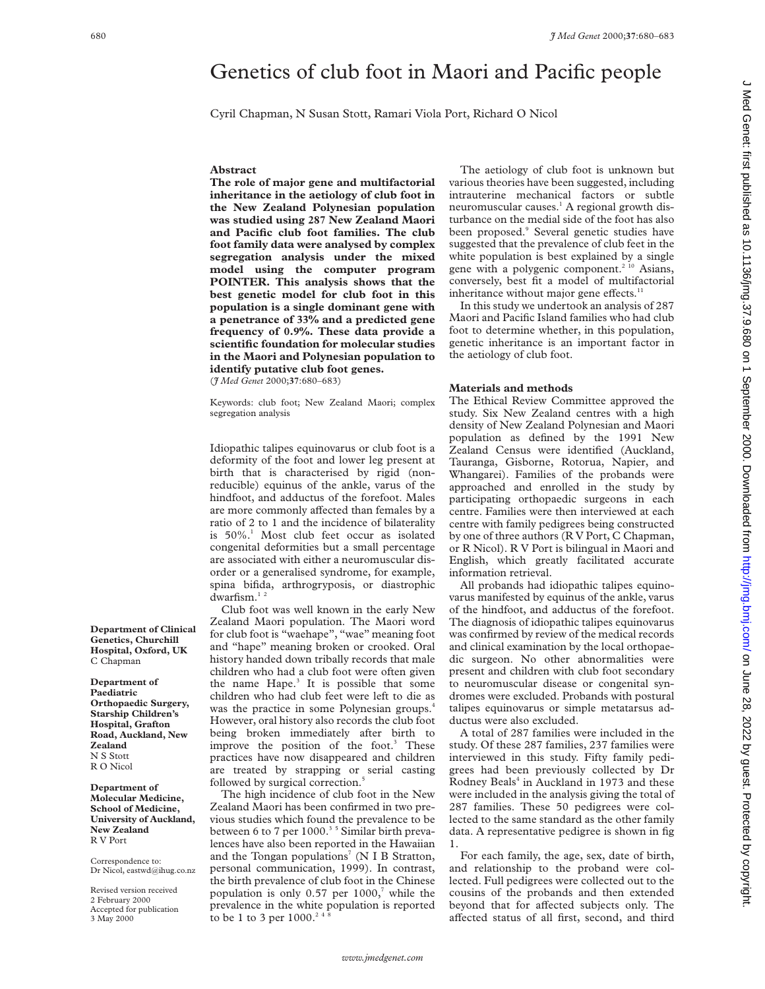# Genetics of club foot in Maori and Pacific people

Cyril Chapman, N Susan Stott, Ramari Viola Port, Richard O Nicol

#### **Abstract**

**The role of major gene and multifactorial inheritance in the aetiology of club foot in the New Zealand Polynesian population was studied using 287 New Zealand Maori and Pacific club foot families. The club foot family data were analysed by complex segregation analysis under the mixed model using the computer program POINTER. This analysis shows that the best genetic model for club foot in this population is a single dominant gene with a penetrance of 33% and a predicted gene frequency of 0.9%. These data provide a scientific foundation for molecular studies in the Maori and Polynesian population to identify putative club foot genes.** (*J Med Genet* 2000;**37**:680–683)

Keywords: club foot; New Zealand Maori; complex segregation analysis

Idiopathic talipes equinovarus or club foot is a deformity of the foot and lower leg present at birth that is characterised by rigid (nonreducible) equinus of the ankle, varus of the hindfoot, and adductus of the forefoot. Males are more commonly affected than females by a ratio of 2 to 1 and the incidence of bilaterality is 50%.<sup>1</sup> Most club feet occur as isolated congenital deformities but a small percentage are associated with either a neuromuscular disorder or a generalised syndrome, for example, spina bifida, arthrogryposis, or diastrophic dwarfism.<sup>12</sup>

Club foot was well known in the early New Zealand Maori population. The Maori word for club foot is "waehape", "wae" meaning foot and "hape" meaning broken or crooked. Oral history handed down tribally records that male children who had a club foot were often given the name Hape.<sup>3</sup> It is possible that some children who had club feet were left to die as was the practice in some Polynesian groups.<sup>4</sup> However, oral history also records the club foot being broken immediately after birth to improve the position of the foot.<sup>3</sup> These practices have now disappeared and children are treated by strapping or serial casting followed by surgical correction.<sup>5</sup>

The high incidence of club foot in the New Zealand Maori has been confirmed in two previous studies which found the prevalence to be between 6 to 7 per 1000.<sup>35</sup> Similar birth prevalences have also been reported in the Hawaiian and the Tongan populations<sup>7</sup> (N I B Stratton, personal communication, 1999). In contrast, the birth prevalence of club foot in the Chinese population is only  $0.57$  per  $1000$ ,<sup>7</sup> while the prevalence in the white population is reported to be 1 to 3 per  $1000.<sup>24</sup>$ 

The aetiology of club foot is unknown but various theories have been suggested, including intrauterine mechanical factors or subtle neuromuscular causes.<sup>1</sup> A regional growth disturbance on the medial side of the foot has also been proposed.<sup>9</sup> Several genetic studies have suggested that the prevalence of club feet in the white population is best explained by a single gene with a polygenic component.<sup>2 10</sup> Asians, conversely, best fit a model of multifactorial inheritance without major gene effects. $11$ 

In this study we undertook an analysis of 287 Maori and Pacific Island families who had club foot to determine whether, in this population, genetic inheritance is an important factor in the aetiology of club foot.

## **Materials and methods**

The Ethical Review Committee approved the study. Six New Zealand centres with a high density of New Zealand Polynesian and Maori population as defined by the 1991 New Zealand Census were identified (Auckland, Tauranga, Gisborne, Rotorua, Napier, and Whangarei). Families of the probands were approached and enrolled in the study by participating orthopaedic surgeons in each centre. Families were then interviewed at each centre with family pedigrees being constructed by one of three authors (R V Port, C Chapman, or R Nicol). R V Port is bilingual in Maori and English, which greatly facilitated accurate information retrieval.

All probands had idiopathic talipes equinovarus manifested by equinus of the ankle, varus of the hindfoot, and adductus of the forefoot. The diagnosis of idiopathic talipes equinovarus was confirmed by review of the medical records and clinical examination by the local orthopaedic surgeon. No other abnormalities were present and children with club foot secondary to neuromuscular disease or congenital syndromes were excluded. Probands with postural talipes equinovarus or simple metatarsus adductus were also excluded.

A total of 287 families were included in the study. Of these 287 families, 237 families were interviewed in this study. Fifty family pedigrees had been previously collected by Dr Rodney Beals<sup>4</sup> in Auckland in 1973 and these were included in the analysis giving the total of 287 families. These 50 pedigrees were collected to the same standard as the other family data. A representative pedigree is shown in fig 1.

For each family, the age, sex, date of birth, and relationship to the proband were collected. Full pedigrees were collected out to the cousins of the probands and then extended beyond that for affected subjects only. The affected status of all first, second, and third

**Department of Clinical Genetics, Churchill Hospital, Oxford, UK** C Chapman

**Department of Paediatric Orthopaedic Surgery, Starship Children's Hospital, Grafton Road, Auckland, New Zealand** N S Stott R O Nicol

**Department of Molecular Medicine, School of Medicine, University of Auckland, New Zealand** R V Port

Correspondence to: Dr Nicol, eastwd@ihug.co.nz

Revised version received 2 February 2000 Accepted for publication 3 May 2000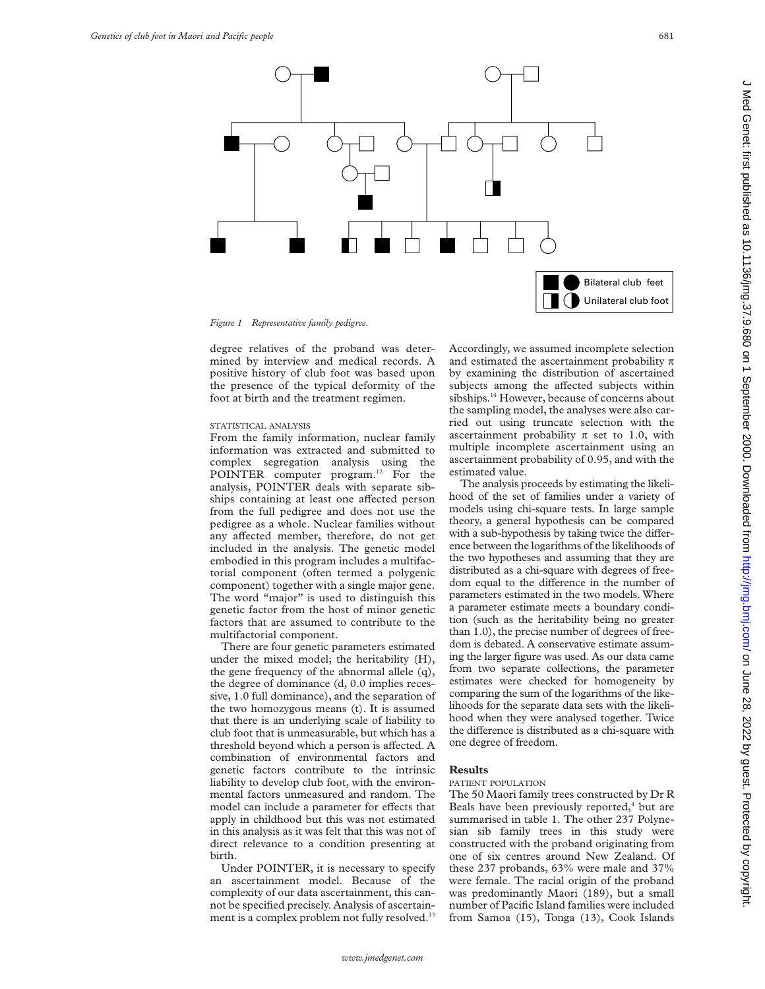

*Figure 1 Representative family pedigree.*

degree relatives of the proband was determined by interview and medical records. A positive history of club foot was based upon the presence of the typical deformity of the foot at birth and the treatment regimen.

# STATISTICAL ANALYSIS

From the family information, nuclear family information was extracted and submitted to complex segregation analysis using the POINTER computer program.<sup>12</sup> For the analysis, POINTER deals with separate sibships containing at least one affected person from the full pedigree and does not use the pedigree as a whole. Nuclear families without any affected member, therefore, do not get included in the analysis. The genetic model embodied in this program includes a multifactorial component (often termed a polygenic component) together with a single major gene. The word "major" is used to distinguish this genetic factor from the host of minor genetic factors that are assumed to contribute to the multifactorial component.

There are four genetic parameters estimated under the mixed model; the heritability (H), the gene frequency of the abnormal allele (q), the degree of dominance (d, 0.0 implies recessive, 1.0 full dominance), and the separation of the two homozygous means (t). It is assumed that there is an underlying scale of liability to club foot that is unmeasurable, but which has a threshold beyond which a person is affected. A combination of environmental factors and genetic factors contribute to the intrinsic liability to develop club foot, with the environmental factors unmeasured and random. The model can include a parameter for effects that apply in childhood but this was not estimated in this analysis as it was felt that this was not of direct relevance to a condition presenting at birth.

Under POINTER, it is necessary to specify an ascertainment model. Because of the complexity of our data ascertainment, this cannot be specified precisely. Analysis of ascertainment is a complex problem not fully resolved.<sup>13</sup>

Accordingly, we assumed incomplete selection and estimated the ascertainment probability  $\pi$ by examining the distribution of ascertained subjects among the affected subjects within sibships.<sup>14</sup> However, because of concerns about the sampling model, the analyses were also carried out using truncate selection with the ascertainment probability  $\pi$  set to 1.0, with multiple incomplete ascertainment using an ascertainment probability of 0.95, and with the estimated value.

The analysis proceeds by estimating the likelihood of the set of families under a variety of models using chi-square tests. In large sample theory, a general hypothesis can be compared with a sub-hypothesis by taking twice the difference between the logarithms of the likelihoods of the two hypotheses and assuming that they are distributed as a chi-square with degrees of freedom equal to the difference in the number of parameters estimated in the two models. Where a parameter estimate meets a boundary condition (such as the heritability being no greater than 1.0), the precise number of degrees of freedom is debated. A conservative estimate assuming the larger figure was used. As our data came from two separate collections, the parameter estimates were checked for homogeneity by comparing the sum of the logarithms of the likelihoods for the separate data sets with the likelihood when they were analysed together. Twice the difference is distributed as a chi-square with one degree of freedom.

## **Results**

## PATIENT POPULATION

The 50 Maori family trees constructed by Dr R Beals have been previously reported, $<sup>4</sup>$  but are</sup> summarised in table 1. The other 237 Polynesian sib family trees in this study were constructed with the proband originating from one of six centres around New Zealand. Of these 237 probands, 63% were male and 37% were female. The racial origin of the proband was predominantly Maori (189), but a small number of Pacific Island families were included from Samoa (15), Tonga (13), Cook Islands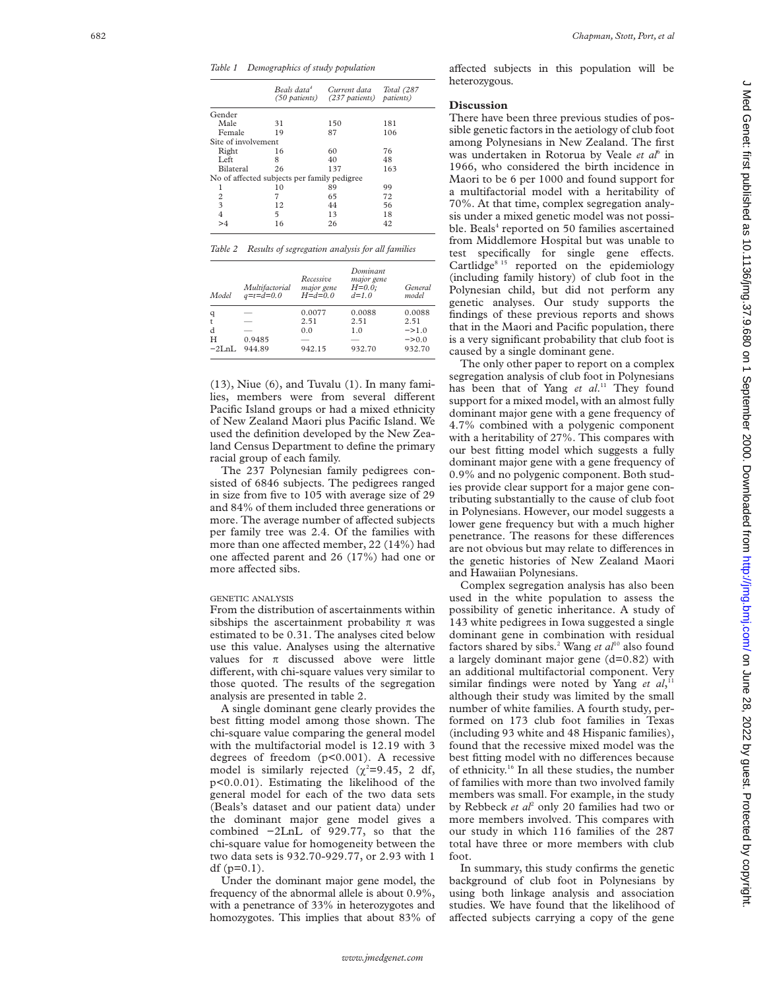*Table 1 Demographics of study population*

|                     |                                              | Beals data <sup>4</sup> Current data<br>(50 patients) (237 patients) patients) | Total (287 |
|---------------------|----------------------------------------------|--------------------------------------------------------------------------------|------------|
| Gender              |                                              |                                                                                |            |
| Male                | 31                                           | 150                                                                            | 181        |
| Female              | 19                                           | 87                                                                             | 106        |
| Site of involvement |                                              |                                                                                |            |
| Right               | 16                                           | 60                                                                             | 76         |
| Left.               | 8                                            | 40                                                                             | 48         |
| <b>Bilateral</b>    | 26                                           | 137                                                                            | 163        |
|                     | No of affected subjects per family pedigree. |                                                                                |            |
| 1                   | 10                                           | 89                                                                             | 99         |
| $\overline{2}$      | 7                                            | 65                                                                             | 72         |
| 3                   | 12                                           | 44                                                                             | 56         |
| $\overline{4}$      | 5                                            | 13                                                                             | 18         |
| >4                  | 16                                           | 26                                                                             | 42         |

| Table 2 Results of segregation analysis for all families |  |
|----------------------------------------------------------|--|
|----------------------------------------------------------|--|

| Model        | Multifactorial<br>$q = t = d = 0.0$ | Recessive<br>major gene<br>$H = d = 0.0$ | Dominant<br>major gene<br>$H=0.0$ ;<br>$d=1.0$ | General<br>model  |
|--------------|-------------------------------------|------------------------------------------|------------------------------------------------|-------------------|
| q            |                                     | 0.0077                                   | 0.0088                                         | 0.0088            |
| t            |                                     | 2.51                                     | 2.51                                           | 2.51              |
| d            |                                     | 0.0                                      | 1.0                                            | $-21.0$           |
| Н            | 0.9485                              |                                          |                                                | $\Rightarrow 0.0$ |
| $-2I_nI_n$ . | 944.89                              | 942.15                                   | 932.70                                         | 932.70            |

(13), Niue (6), and Tuvalu (1). In many families, members were from several different Pacific Island groups or had a mixed ethnicity of New Zealand Maori plus Pacific Island. We used the definition developed by the New Zealand Census Department to define the primary racial group of each family.

The 237 Polynesian family pedigrees consisted of 6846 subjects. The pedigrees ranged in size from five to 105 with average size of 29 and 84% of them included three generations or more. The average number of affected subjects per family tree was 2.4. Of the families with more than one affected member, 22 (14%) had one affected parent and 26 (17%) had one or more affected sibs.

# GENETIC ANALYSIS

From the distribution of ascertainments within sibships the ascertainment probability  $\pi$  was estimated to be 0.31. The analyses cited below use this value. Analyses using the alternative values for  $\pi$  discussed above were little different, with chi-square values very similar to those quoted. The results of the segregation analysis are presented in table 2.

A single dominant gene clearly provides the best fitting model among those shown. The chi-square value comparing the general model with the multifactorial model is 12.19 with 3 degrees of freedom (p<0.001). A recessive model is similarly rejected ( $\chi^2$ =9.45, 2 df, p<0.0.01). Estimating the likelihood of the general model for each of the two data sets (Beals's dataset and our patient data) under the dominant major gene model gives a combined −2LnL of 929.77, so that the chi-square value for homogeneity between the two data sets is 932.70-929.77, or 2.93 with 1 df  $(p=0.1)$ .

Under the dominant major gene model, the frequency of the abnormal allele is about 0.9%, with a penetrance of 33% in heterozygotes and homozygotes. This implies that about 83% of

a Vected subjects in this population will be heterozygous.

#### **Discussion**

There have been three previous studies of possible genetic factors in the aetiology of club foot among Polynesians in New Zealand. The first was undertaken in Rotorua by Veale *et al*<sup>6</sup> in 1966, who considered the birth incidence in Maori to be 6 per 1000 and found support for a multifactorial model with a heritability of 70%. At that time, complex segregation analysis under a mixed genetic model was not possible. Beals<sup>4</sup> reported on 50 families ascertained from Middlemore Hospital but was unable to test specifically for single gene effects. Cartlidge $815$  reported on the epidemiology (including family history) of club foot in the Polynesian child, but did not perform any genetic analyses. Our study supports the findings of these previous reports and shows that in the Maori and Pacific population, there is a very significant probability that club foot is caused by a single dominant gene.

The only other paper to report on a complex segregation analysis of club foot in Polynesians has been that of Yang et al.<sup>11</sup> They found support for a mixed model, with an almost fully dominant major gene with a gene frequency of 4.7% combined with a polygenic component with a heritability of 27%. This compares with our best fitting model which suggests a fully dominant major gene with a gene frequency of 0.9% and no polygenic component. Both studies provide clear support for a major gene contributing substantially to the cause of club foot in Polynesians. However, our model suggests a lower gene frequency but with a much higher penetrance. The reasons for these differences are not obvious but may relate to differences in the genetic histories of New Zealand Maori and Hawaiian Polynesians.

Complex segregation analysis has also been used in the white population to assess the possibility of genetic inheritance. A study of 143 white pedigrees in Iowa suggested a single dominant gene in combination with residual factors shared by sibs.<sup>2</sup> Wang *et al*<sup>10</sup> also found a largely dominant major gene (d=0.82) with an additional multifactorial component. Very similar findings were noted by Yang et al,<sup>11</sup> although their study was limited by the small number of white families. A fourth study, performed on 173 club foot families in Texas (including 93 white and 48 Hispanic families), found that the recessive mixed model was the best fitting model with no differences because of ethnicity.<sup>16</sup> In all these studies, the number of families with more than two involved family members was small. For example, in the study by Rebbeck *et al*<sup>2</sup> only 20 families had two or more members involved. This compares with our study in which 116 families of the 287 total have three or more members with club foot.

In summary, this study confirms the genetic background of club foot in Polynesians by using both linkage analysis and association studies. We have found that the likelihood of affected subjects carrying a copy of the gene